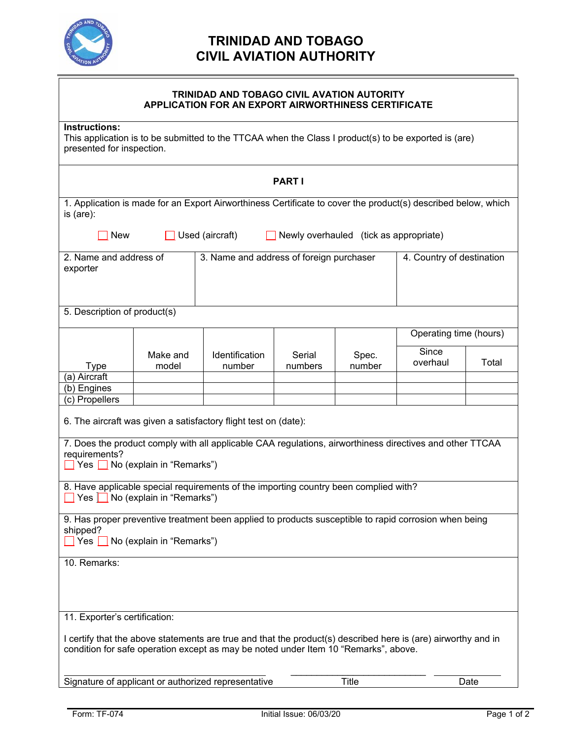

## **TRINIDAD AND TOBAGO CIVIL AVIATION AUTHORITY**

| TRINIDAD AND TOBAGO CIVIL AVATION AUTORITY<br><b>APPLICATION FOR AN EXPORT AIRWORTHINESS CERTIFICATE</b>                                                                                                                                                      |                   |                                          |                   |                 |                           |       |
|---------------------------------------------------------------------------------------------------------------------------------------------------------------------------------------------------------------------------------------------------------------|-------------------|------------------------------------------|-------------------|-----------------|---------------------------|-------|
| Instructions:<br>This application is to be submitted to the TTCAA when the Class I product(s) to be exported is (are)<br>presented for inspection.                                                                                                            |                   |                                          |                   |                 |                           |       |
| <b>PARTI</b>                                                                                                                                                                                                                                                  |                   |                                          |                   |                 |                           |       |
| 1. Application is made for an Export Airworthiness Certificate to cover the product(s) described below, which<br>is (are):                                                                                                                                    |                   |                                          |                   |                 |                           |       |
| Used (aircraft)<br>Newly overhauled (tick as appropriate)<br><b>New</b>                                                                                                                                                                                       |                   |                                          |                   |                 |                           |       |
| 2. Name and address of<br>exporter                                                                                                                                                                                                                            |                   | 3. Name and address of foreign purchaser |                   |                 | 4. Country of destination |       |
| 5. Description of product(s)                                                                                                                                                                                                                                  |                   |                                          |                   |                 |                           |       |
|                                                                                                                                                                                                                                                               |                   |                                          |                   |                 | Operating time (hours)    |       |
| <b>Type</b><br>(a) Aircraft                                                                                                                                                                                                                                   | Make and<br>model | Identification<br>number                 | Serial<br>numbers | Spec.<br>number | Since<br>overhaul         | Total |
| (b) Engines                                                                                                                                                                                                                                                   |                   |                                          |                   |                 |                           |       |
| (c) Propellers<br>6. The aircraft was given a satisfactory flight test on (date):<br>7. Does the product comply with all applicable CAA regulations, airworthiness directives and other TTCAA<br>requirements?<br>$\Box$ Yes $\Box$ No (explain in "Remarks") |                   |                                          |                   |                 |                           |       |
| 8. Have applicable special requirements of the importing country been complied with?<br>Yes No (explain in "Remarks")                                                                                                                                         |                   |                                          |                   |                 |                           |       |
| 9. Has proper preventive treatment been applied to products susceptible to rapid corrosion when being<br>shipped?<br>$\blacksquare$ Yes $\blacksquare$ No (explain in "Remarks")                                                                              |                   |                                          |                   |                 |                           |       |
| 10. Remarks:                                                                                                                                                                                                                                                  |                   |                                          |                   |                 |                           |       |
| 11. Exporter's certification:                                                                                                                                                                                                                                 |                   |                                          |                   |                 |                           |       |
| I certify that the above statements are true and that the product(s) described here is (are) airworthy and in<br>condition for safe operation except as may be noted under Item 10 "Remarks", above.                                                          |                   |                                          |                   |                 |                           |       |
| Signature of applicant or authorized representative<br><b>Title</b>                                                                                                                                                                                           |                   |                                          |                   |                 | Date                      |       |